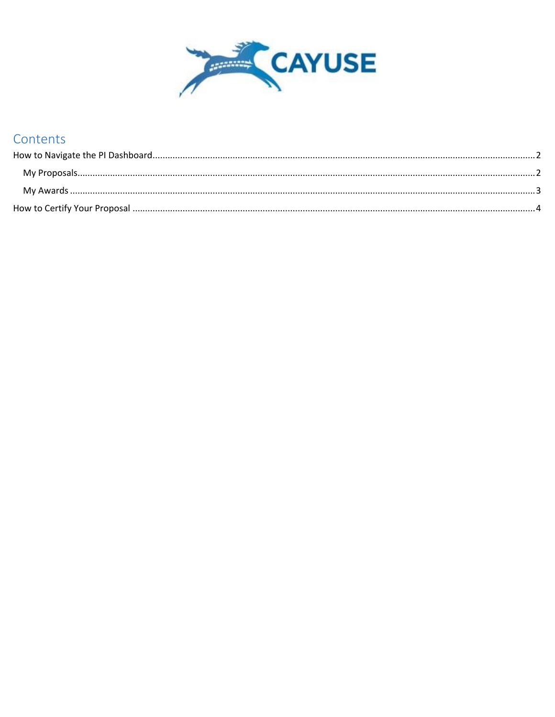

## Contents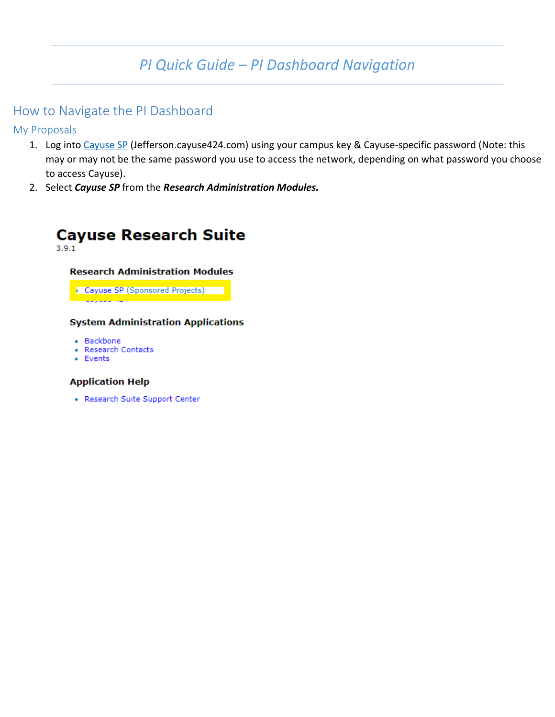# *PI Quick Guide – PI Dashboard Navigation*

### <span id="page-1-0"></span>How to Navigate the PI Dashboard

<span id="page-1-1"></span>My Proposals

- 1. Log into [Cayuse SP](jefferson.cayuse424.com) (Jefferson.cayuse424.com) using your campus key & Cayuse-specific password (Note: this may or may not be the same password you use to access the network, depending on what password you choose to access Cayuse).
- 2. Select *Cayuse SP* from the *Research Administration Modules.*



#### **Research Administration Modules**

Cayuse SP (Sponsored Projects)

#### **System Administration Applications**

- Backbone
- · Research Contacts
- Events

#### **Application Help**

• Research Suite Support Center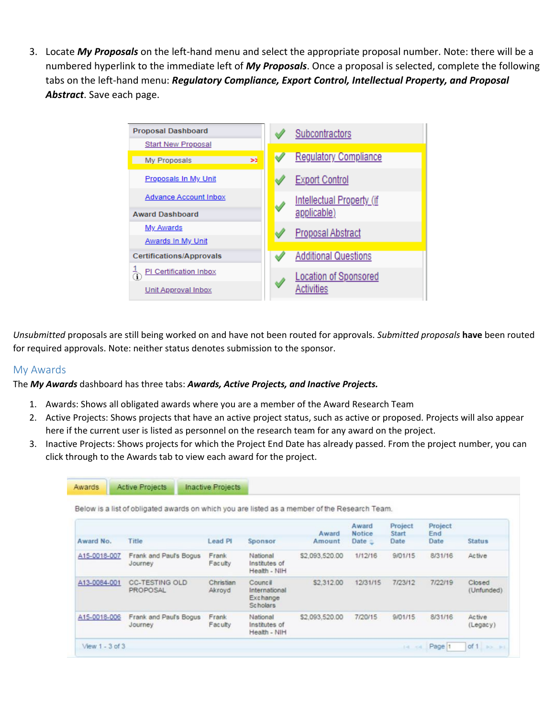3. Locate *My Proposals* on the left-hand menu and select the appropriate proposal number. Note: there will be a numbered hyperlink to the immediate left of *My Proposals*. Once a proposal is selected, complete the following tabs on the left-hand menu: *Regulatory Compliance, Export Control, Intellectual Property, and Proposal Abstract*. Save each page.



*Unsubmitted* proposals are still being worked on and have not been routed for approvals. *Submitted proposals* **have** been routed for required approvals. Note: neither status denotes submission to the sponsor.

### <span id="page-2-0"></span>My Awards

Awards

The *My Awards* dashboard has three tabs: *Awards, Active Projects, and Inactive Projects.*

Active Projects Inactive Projects

- 1. Awards: Shows all obligated awards where you are a member of the Award Research Team
- 2. Active Projects: Shows projects that have an active project status, such as active or proposed. Projects will also appear here if the current user is listed as personnel on the research team for any award on the project.
- 3. Inactive Projects: Shows projects for which the Project End Date has already passed. From the project number, you can click through to the Awards tab to view each award for the project.

|              |                                   |                     |                                                         | Award          | Award<br><b>Notice</b> | Project<br><b>Start</b> | Project<br>End |                      |
|--------------|-----------------------------------|---------------------|---------------------------------------------------------|----------------|------------------------|-------------------------|----------------|----------------------|
| Award No.    | Title                             | Lead <sub>PL</sub>  | Sponsor                                                 | Amount         | Date $=$               | Date                    | Date           | <b>Status</b>        |
| A15-0018-007 | Frank and Paul's Bogus<br>Journey | Frank<br>Faculty    | National<br>Institutes of<br>Health - NIH               | \$2,093,520.00 | 1/12/16                | 9/01/15                 | 8/31/16        | Active               |
| A13-0084-001 | <b>CC-TESTING OLD</b><br>PROPOSAL | Christian<br>Akroyd | Council<br>International<br>Exchange<br><b>Scholars</b> | \$2,312.00     | 12/31/15               | 7/23/12                 | 7/22/19        | Closed<br>(Unfunded) |
| A15-0018-006 | Frank and Paul's Bogus<br>Journey | Frank<br>Faculty    | National<br>Institutes of<br>Health - NIH               | \$2,093,520.00 | 7/20/15                | 9/01/15                 | 8/31/16        | Active<br>(Legacy)   |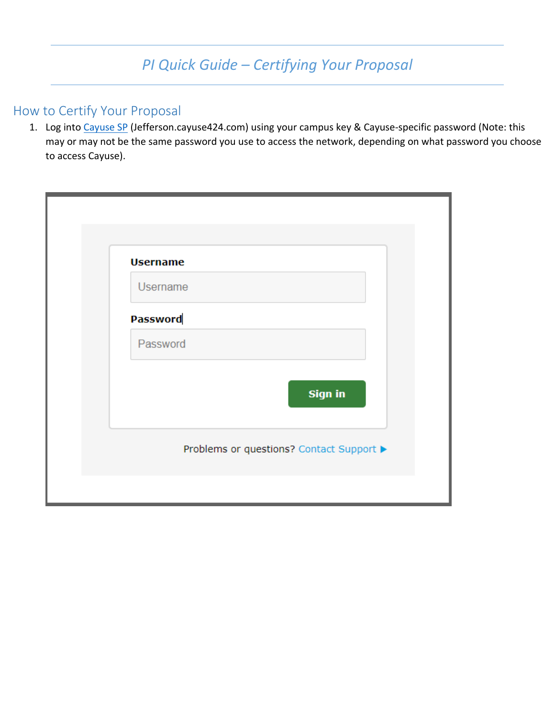## <span id="page-3-0"></span>How to Certify Your Proposal

1. Log into [Cayuse SP](jefferson.cayuse424.com) (Jefferson.cayuse424.com) using your campus key & Cayuse-specific password (Note: this may or may not be the same password you use to access the network, depending on what password you choose to access Cayuse).

| <b>Username</b>                          |  |
|------------------------------------------|--|
| <b>Username</b>                          |  |
| <b>Password</b>                          |  |
| Password                                 |  |
| <b>Sign in</b>                           |  |
| Problems or questions? Contact Support ▶ |  |
|                                          |  |